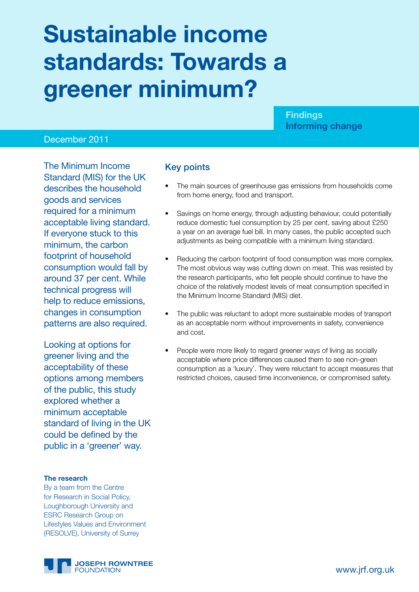# **Sustainable income standards: Towards a greener minimum?**

#### **Findings Informing change**

#### December 2011

The Minimum Income Standard (MIS) for the UK describes the household goods and services required for a minimum acceptable living standard. If everyone stuck to this minimum, the carbon footprint of household consumption would fall by around 37 per cent. While technical progress will help to reduce emissions, changes in consumption patterns are also required.

Looking at options for greener living and the acceptability of these options among members of the public, this study explored whether a minimum acceptable standard of living in the UK could be defined by the public in a 'greener' way.

#### **The research**

By a team from the Centre for Research in Social Policy, Loughborough University and ESRC Research Group on Lifestyles Values and Environment (RESOLVE), University of Surrey



#### Key points

- The main sources of greenhouse gas emissions from households come from home energy, food and transport.
- Savings on home energy, through adjusting behaviour, could potentially reduce domestic fuel consumption by 25 per cent, saving about £250 a year on an average fuel bill. In many cases, the public accepted such adjustments as being compatible with a minimum living standard.
- Reducing the carbon footprint of food consumption was more complex. The most obvious way was cutting down on meat. This was resisted by the research participants, who felt people should continue to have the choice of the relatively modest levels of meat consumption specified in the Minimum Income Standard (MIS) diet.
- The public was reluctant to adopt more sustainable modes of transport as an acceptable norm without improvements in safety, convenience and cost.
- People were more likely to regard greener ways of living as socially acceptable where price differences caused them to see non-green consumption as a 'luxury'. They were reluctant to accept measures that restricted choices, caused time inconvenience, or compromised safety.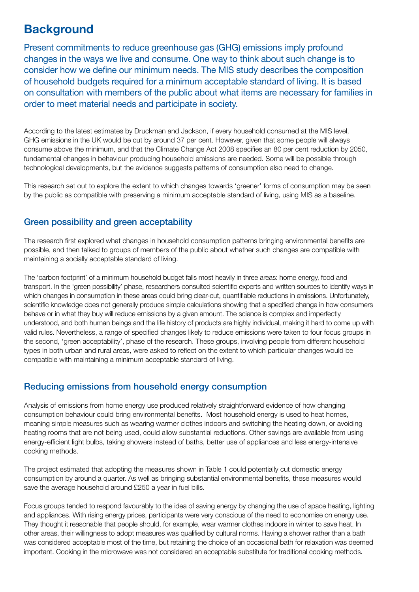## **Background**

Present commitments to reduce greenhouse gas (GHG) emissions imply profound changes in the ways we live and consume. One way to think about such change is to consider how we define our minimum needs. The MIS study describes the composition of household budgets required for a minimum acceptable standard of living. It is based on consultation with members of the public about what items are necessary for families in order to meet material needs and participate in society.

According to the latest estimates by Druckman and Jackson, if every household consumed at the MIS level, GHG emissions in the UK would be cut by around 37 per cent. However, given that some people will always consume above the minimum, and that the Climate Change Act 2008 specifies an 80 per cent reduction by 2050, fundamental changes in behaviour producing household emissions are needed. Some will be possible through technological developments, but the evidence suggests patterns of consumption also need to change.

This research set out to explore the extent to which changes towards 'greener' forms of consumption may be seen by the public as compatible with preserving a minimum acceptable standard of living, using MIS as a baseline.

### Green possibility and green acceptability

The research first explored what changes in household consumption patterns bringing environmental benefits are possible, and then talked to groups of members of the public about whether such changes are compatible with maintaining a socially acceptable standard of living.

The 'carbon footprint' of a minimum household budget falls most heavily in three areas: home energy, food and transport. In the 'green possibility' phase, researchers consulted scientific experts and written sources to identify ways in which changes in consumption in these areas could bring clear-cut, quantifiable reductions in emissions. Unfortunately, scientific knowledge does not generally produce simple calculations showing that a specified change in how consumers behave or in what they buy will reduce emissions by a given amount. The science is complex and imperfectly understood, and both human beings and the life history of products are highly individual, making it hard to come up with valid rules. Nevertheless, a range of specified changes likely to reduce emissions were taken to four focus groups in the second, 'green acceptability', phase of the research. These groups, involving people from different household types in both urban and rural areas, were asked to reflect on the extent to which particular changes would be compatible with maintaining a minimum acceptable standard of living.

#### Reducing emissions from household energy consumption

Analysis of emissions from home energy use produced relatively straightforward evidence of how changing consumption behaviour could bring environmental benefits. Most household energy is used to heat homes, meaning simple measures such as wearing warmer clothes indoors and switching the heating down, or avoiding heating rooms that are not being used, could allow substantial reductions. Other savings are available from using energy-efficient light bulbs, taking showers instead of baths, better use of appliances and less energy-intensive cooking methods.

The project estimated that adopting the measures shown in Table 1 could potentially cut domestic energy consumption by around a quarter. As well as bringing substantial environmental benefits, these measures would save the average household around £250 a year in fuel bills.

Focus groups tended to respond favourably to the idea of saving energy by changing the use of space heating, lighting and appliances. With rising energy prices, participants were very conscious of the need to economise on energy use. They thought it reasonable that people should, for example, wear warmer clothes indoors in winter to save heat. In other areas, their willingness to adopt measures was qualified by cultural norms. Having a shower rather than a bath was considered acceptable most of the time, but retaining the choice of an occasional bath for relaxation was deemed important. Cooking in the microwave was not considered an acceptable substitute for traditional cooking methods.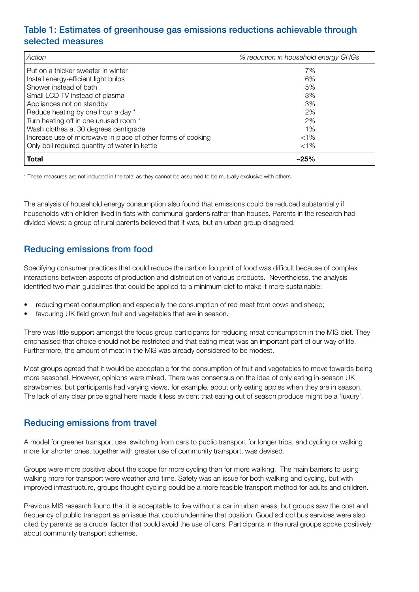### Table 1: Estimates of greenhouse gas emissions reductions achievable through selected measures

| Action                                                       | % reduction in household energy GHGs |
|--------------------------------------------------------------|--------------------------------------|
| Put on a thicker sweater in winter                           | 7%                                   |
| Install energy-efficient light bulbs                         | 6%                                   |
| Shower instead of bath                                       | 5%                                   |
| Small LCD TV instead of plasma                               | 3%                                   |
| Appliances not on standby                                    | 3%                                   |
| Reduce heating by one hour a day *                           | 2%                                   |
| Turn heating off in one unused room *                        | 2%                                   |
| Wash clothes at 30 degrees centigrade                        | $1\%$                                |
| Increase use of microwave in place of other forms of cooking | $< 1\%$                              |
| Only boil required quantity of water in kettle               | $< 1\%$                              |
| Total                                                        | $~25\%$                              |

\* These measures are not included in the total as they cannot be assumed to be mutually exclusive with others.

The analysis of household energy consumption also found that emissions could be reduced substantially if households with children lived in flats with communal gardens rather than houses. Parents in the research had divided views: a group of rural parents believed that it was, but an urban group disagreed.

#### Reducing emissions from food

Specifying consumer practices that could reduce the carbon footprint of food was difficult because of complex interactions between aspects of production and distribution of various products. Nevertheless, the analysis identified two main guidelines that could be applied to a minimum diet to make it more sustainable:

- reducing meat consumption and especially the consumption of red meat from cows and sheep;
- favouring UK field grown fruit and vegetables that are in season.

There was little support amongst the focus group participants for reducing meat consumption in the MIS diet. They emphasised that choice should not be restricted and that eating meat was an important part of our way of life. Furthermore, the amount of meat in the MIS was already considered to be modest.

Most groups agreed that it would be acceptable for the consumption of fruit and vegetables to move towards being more seasonal. However, opinions were mixed. There was consensus on the idea of only eating in-season UK strawberries, but participants had varying views, for example, about only eating apples when they are in season. The lack of any clear price signal here made it less evident that eating out of season produce might be a 'luxury'.

#### Reducing emissions from travel

A model for greener transport use, switching from cars to public transport for longer trips, and cycling or walking more for shorter ones, together with greater use of community transport, was devised.

Groups were more positive about the scope for more cycling than for more walking. The main barriers to using walking more for transport were weather and time. Safety was an issue for both walking and cycling, but with improved infrastructure, groups thought cycling could be a more feasible transport method for adults and children.

Previous MIS research found that it is acceptable to live without a car in urban areas, but groups saw the cost and frequency of public transport as an issue that could undermine that position. Good school bus services were also cited by parents as a crucial factor that could avoid the use of cars. Participants in the rural groups spoke positively about community transport schemes.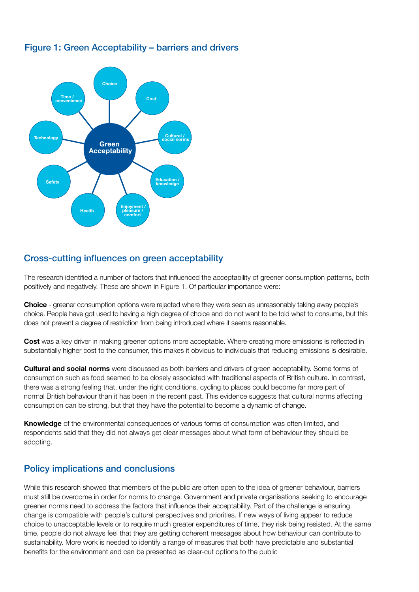

#### Figure 1: Green Acceptability – barriers and drivers

#### Cross-cutting influences on green acceptability

The research identified a number of factors that influenced the acceptability of greener consumption patterns, both positively and negatively. These are shown in Figure 1. Of particular importance were:

**Choice** - greener consumption options were rejected where they were seen as unreasonably taking away people's choice. People have got used to having a high degree of choice and do not want to be told what to consume, but this does not prevent a degree of restriction from being introduced where it seems reasonable.

**Cost** was a key driver in making greener options more acceptable. Where creating more emissions is reflected in substantially higher cost to the consumer, this makes it obvious to individuals that reducing emissions is desirable.

**Cultural and social norms** were discussed as both barriers and drivers of green acceptability. Some forms of consumption such as food seemed to be closely associated with traditional aspects of British culture. In contrast, there was a strong feeling that, under the right conditions, cycling to places could become far more part of normal British behaviour than it has been in the recent past. This evidence suggests that cultural norms affecting consumption can be strong, but that they have the potential to become a dynamic of change.

**Knowledge** of the environmental consequences of various forms of consumption was often limited, and respondents said that they did not always get clear messages about what form of behaviour they should be adopting.

#### Policy implications and conclusions

While this research showed that members of the public are often open to the idea of greener behaviour, barriers must still be overcome in order for norms to change. Government and private organisations seeking to encourage greener norms need to address the factors that influence their acceptability. Part of the challenge is ensuring change is compatible with people's cultural perspectives and priorities. If new ways of living appear to reduce choice to unacceptable levels or to require much greater expenditures of time, they risk being resisted. At the same time, people do not always feel that they are getting coherent messages about how behaviour can contribute to sustainability. More work is needed to identify a range of measures that both have predictable and substantial benefits for the environment and can be presented as clear-cut options to the public